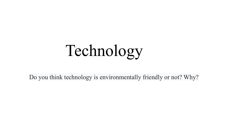# Technology

Do you think technology is environmentally friendly or not? Why?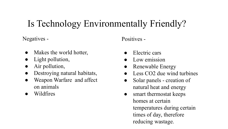### Is Technology Environmentally Friendly?

Negatives -

- Makes the world hotter,
- Light pollution,
- Air pollution,
- Destroying natural habitats,
- Weapon Warfare and affect on animals
- Wildfires

Positives -

- Electric cars
- Low emission
- Renewable Energy
- Less CO2 due wind turbines
- Solar panels creation of natural heat and energy
- smart thermostat keeps homes at certain temperatures during certain times of day, therefore reducing wastage.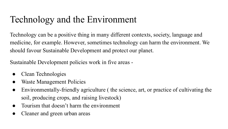## Technology and the Environment

Technology can be a positive thing in many different contexts, society, language and medicine, for example. However, sometimes technology can harm the environment. We should favour Sustainable Development and protect our planet.

Sustainable Development policies work in five areas -

- Clean Technologies
- Waste Management Policies
- Environmentally-friendly agriculture ( the science, art, or practice of cultivating the soil, producing crops, and raising livestock)
- Tourism that doesn't harm the environment
- Cleaner and green urban areas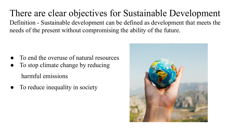There are clear objectives for Sustainable Development Definition - Sustainable development can be defined as development that meets the needs of the present without compromising the ability of the future.

- To end the overuse of natural resources
- To stop climate change by reducing harmful emissions
- To reduce inequality in society

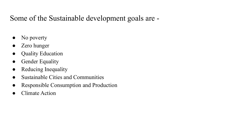#### Some of the Sustainable development goals are -

- No poverty
- **Zero** hunger
- Quality Education
- Gender Equality
- Reducing Inequality
- Sustainable Cities and Communities
- Responsible Consumption and Production
- Climate Action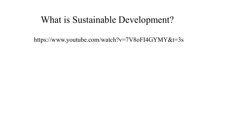#### What is Sustainable Development?

https://www.youtube.com/watch?v=7V8oFI4GYMY&t=3s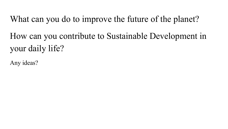What can you do to improve the future of the planet? How can you contribute to Sustainable Development in your daily life?

Any ideas?